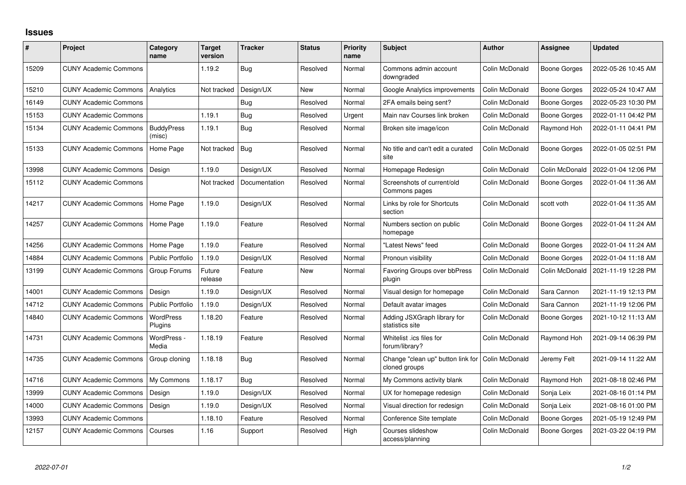## **Issues**

| #     | Project                      | Category<br>name            | <b>Target</b><br>version | <b>Tracker</b> | <b>Status</b> | Priority<br>name | <b>Subject</b>                                     | <b>Author</b>  | Assignee            | <b>Updated</b>      |
|-------|------------------------------|-----------------------------|--------------------------|----------------|---------------|------------------|----------------------------------------------------|----------------|---------------------|---------------------|
| 15209 | <b>CUNY Academic Commons</b> |                             | 1.19.2                   | Bug            | Resolved      | Normal           | Commons admin account<br>downgraded                | Colin McDonald | Boone Gorges        | 2022-05-26 10:45 AM |
| 15210 | <b>CUNY Academic Commons</b> | Analytics                   | Not tracked              | Design/UX      | <b>New</b>    | Normal           | Google Analytics improvements                      | Colin McDonald | <b>Boone Gorges</b> | 2022-05-24 10:47 AM |
| 16149 | <b>CUNY Academic Commons</b> |                             |                          | Bug            | Resolved      | Normal           | 2FA emails being sent?                             | Colin McDonald | <b>Boone Gorges</b> | 2022-05-23 10:30 PM |
| 15153 | <b>CUNY Academic Commons</b> |                             | 1.19.1                   | Bug            | Resolved      | Urgent           | Main nav Courses link broken                       | Colin McDonald | <b>Boone Gorges</b> | 2022-01-11 04:42 PM |
| 15134 | <b>CUNY Academic Commons</b> | <b>BuddyPress</b><br>(misc) | 1.19.1                   | Bug            | Resolved      | Normal           | Broken site image/icon                             | Colin McDonald | Raymond Hoh         | 2022-01-11 04:41 PM |
| 15133 | <b>CUNY Academic Commons</b> | Home Page                   | Not tracked              | Bug            | Resolved      | Normal           | No title and can't edit a curated<br>site          | Colin McDonald | <b>Boone Gorges</b> | 2022-01-05 02:51 PM |
| 13998 | <b>CUNY Academic Commons</b> | Design                      | 1.19.0                   | Design/UX      | Resolved      | Normal           | Homepage Redesign                                  | Colin McDonald | Colin McDonald      | 2022-01-04 12:06 PM |
| 15112 | <b>CUNY Academic Commons</b> |                             | Not tracked              | Documentation  | Resolved      | Normal           | Screenshots of current/old<br>Commons pages        | Colin McDonald | <b>Boone Gorges</b> | 2022-01-04 11:36 AM |
| 14217 | <b>CUNY Academic Commons</b> | Home Page                   | 1.19.0                   | Design/UX      | Resolved      | Normal           | Links by role for Shortcuts<br>section             | Colin McDonald | scott voth          | 2022-01-04 11:35 AM |
| 14257 | <b>CUNY Academic Commons</b> | Home Page                   | 1.19.0                   | Feature        | Resolved      | Normal           | Numbers section on public<br>homepage              | Colin McDonald | Boone Gorges        | 2022-01-04 11:24 AM |
| 14256 | <b>CUNY Academic Commons</b> | Home Page                   | 1.19.0                   | Feature        | Resolved      | Normal           | "Latest News" feed                                 | Colin McDonald | Boone Gorges        | 2022-01-04 11:24 AM |
| 14884 | <b>CUNY Academic Commons</b> | <b>Public Portfolio</b>     | 1.19.0                   | Design/UX      | Resolved      | Normal           | Pronoun visibility                                 | Colin McDonald | <b>Boone Gorges</b> | 2022-01-04 11:18 AM |
| 13199 | <b>CUNY Academic Commons</b> | Group Forums                | Future<br>release        | Feature        | <b>New</b>    | Normal           | <b>Favoring Groups over bbPress</b><br>plugin      | Colin McDonald | Colin McDonald      | 2021-11-19 12:28 PM |
| 14001 | <b>CUNY Academic Commons</b> | Design                      | 1.19.0                   | Design/UX      | Resolved      | Normal           | Visual design for homepage                         | Colin McDonald | Sara Cannon         | 2021-11-19 12:13 PM |
| 14712 | <b>CUNY Academic Commons</b> | <b>Public Portfolio</b>     | 1.19.0                   | Design/UX      | Resolved      | Normal           | Default avatar images                              | Colin McDonald | Sara Cannon         | 2021-11-19 12:06 PM |
| 14840 | <b>CUNY Academic Commons</b> | WordPress<br>Plugins        | 1.18.20                  | Feature        | Resolved      | Normal           | Adding JSXGraph library for<br>statistics site     | Colin McDonald | <b>Boone Gorges</b> | 2021-10-12 11:13 AM |
| 14731 | <b>CUNY Academic Commons</b> | WordPress -<br>Media        | 1.18.19                  | Feature        | Resolved      | Normal           | Whitelist .ics files for<br>forum/library?         | Colin McDonald | Raymond Hoh         | 2021-09-14 06:39 PM |
| 14735 | <b>CUNY Academic Commons</b> | Group cloning               | 1.18.18                  | Bug            | Resolved      | Normal           | Change "clean up" button link for<br>cloned groups | Colin McDonald | Jeremy Felt         | 2021-09-14 11:22 AM |
| 14716 | <b>CUNY Academic Commons</b> | My Commons                  | 1.18.17                  | Bug            | Resolved      | Normal           | My Commons activity blank                          | Colin McDonald | Raymond Hoh         | 2021-08-18 02:46 PM |
| 13999 | <b>CUNY Academic Commons</b> | Design                      | 1.19.0                   | Design/UX      | Resolved      | Normal           | UX for homepage redesign                           | Colin McDonald | Sonja Leix          | 2021-08-16 01:14 PM |
| 14000 | <b>CUNY Academic Commons</b> | Design                      | 1.19.0                   | Design/UX      | Resolved      | Normal           | Visual direction for redesign                      | Colin McDonald | Sonja Leix          | 2021-08-16 01:00 PM |
| 13993 | <b>CUNY Academic Commons</b> |                             | 1.18.10                  | Feature        | Resolved      | Normal           | Conference Site template                           | Colin McDonald | Boone Gorges        | 2021-05-19 12:49 PM |
| 12157 | <b>CUNY Academic Commons</b> | Courses                     | 1.16                     | Support        | Resolved      | High             | Courses slideshow<br>access/planning               | Colin McDonald | Boone Gorges        | 2021-03-22 04:19 PM |